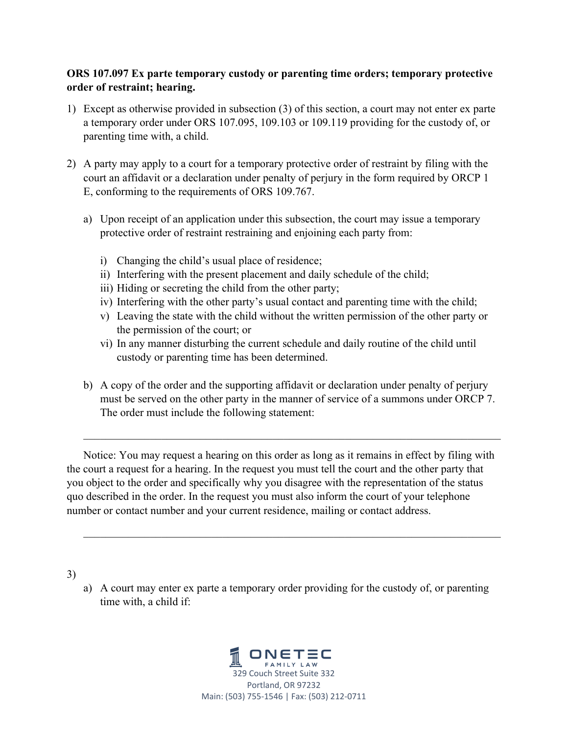## **ORS 107.097 Ex parte temporary custody or parenting time orders; temporary protective order of restraint; hearing.**

- 1) Except as otherwise provided in subsection (3) of this section, a court may not enter ex parte a temporary order under ORS 107.095, 109.103 or 109.119 providing for the custody of, or parenting time with, a child.
- 2) A party may apply to a court for a temporary protective order of restraint by filing with the court an affidavit or a declaration under penalty of perjury in the form required by ORCP 1 E, conforming to the requirements of ORS 109.767.
	- a) Upon receipt of an application under this subsection, the court may issue a temporary protective order of restraint restraining and enjoining each party from:
		- i) Changing the child's usual place of residence;
		- ii) Interfering with the present placement and daily schedule of the child;
		- iii) Hiding or secreting the child from the other party;
		- iv) Interfering with the other party's usual contact and parenting time with the child;
		- v) Leaving the state with the child without the written permission of the other party or the permission of the court; or
		- vi) In any manner disturbing the current schedule and daily routine of the child until custody or parenting time has been determined.
	- b) A copy of the order and the supporting affidavit or declaration under penalty of perjury must be served on the other party in the manner of service of a summons under ORCP 7. The order must include the following statement:

Notice: You may request a hearing on this order as long as it remains in effect by filing with the court a request for a hearing. In the request you must tell the court and the other party that you object to the order and specifically why you disagree with the representation of the status quo described in the order. In the request you must also inform the court of your telephone number or contact number and your current residence, mailing or contact address.

3)

a) A court may enter ex parte a temporary order providing for the custody of, or parenting time with, a child if:

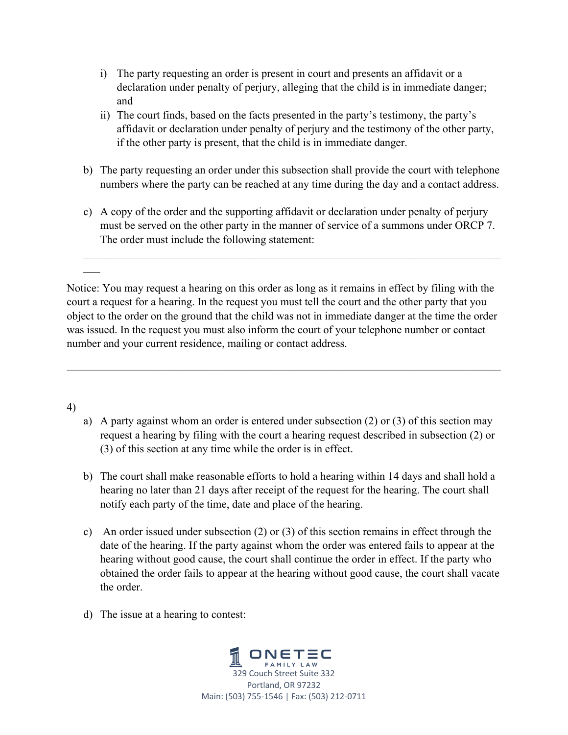- i) The party requesting an order is present in court and presents an affidavit or a declaration under penalty of perjury, alleging that the child is in immediate danger; and
- ii) The court finds, based on the facts presented in the party's testimony, the party's affidavit or declaration under penalty of perjury and the testimony of the other party, if the other party is present, that the child is in immediate danger.
- b) The party requesting an order under this subsection shall provide the court with telephone numbers where the party can be reached at any time during the day and a contact address.
- c) A copy of the order and the supporting affidavit or declaration under penalty of perjury must be served on the other party in the manner of service of a summons under ORCP 7. The order must include the following statement:

Notice: You may request a hearing on this order as long as it remains in effect by filing with the court a request for a hearing. In the request you must tell the court and the other party that you object to the order on the ground that the child was not in immediate danger at the time the order was issued. In the request you must also inform the court of your telephone number or contact number and your current residence, mailing or contact address.

## 4)

- a) A party against whom an order is entered under subsection (2) or (3) of this section may request a hearing by filing with the court a hearing request described in subsection (2) or (3) of this section at any time while the order is in effect.
- b) The court shall make reasonable efforts to hold a hearing within 14 days and shall hold a hearing no later than 21 days after receipt of the request for the hearing. The court shall notify each party of the time, date and place of the hearing.
- c) An order issued under subsection (2) or (3) of this section remains in effect through the date of the hearing. If the party against whom the order was entered fails to appear at the hearing without good cause, the court shall continue the order in effect. If the party who obtained the order fails to appear at the hearing without good cause, the court shall vacate the order.
- d) The issue at a hearing to contest: